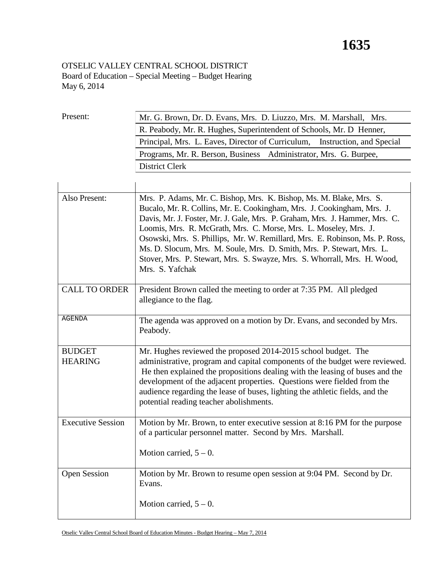## OTSELIC VALLEY CENTRAL SCHOOL DISTRICT Board of Education – Special Meeting – Budget Hearing May 6, 2014

| Present:                        | Mr. G. Brown, Dr. D. Evans, Mrs. D. Liuzzo, Mrs. M. Marshall, Mrs.                                                                                                                                                                                                                                                                                                                                                                                                                                                                                     |  |  |  |  |
|---------------------------------|--------------------------------------------------------------------------------------------------------------------------------------------------------------------------------------------------------------------------------------------------------------------------------------------------------------------------------------------------------------------------------------------------------------------------------------------------------------------------------------------------------------------------------------------------------|--|--|--|--|
|                                 | R. Peabody, Mr. R. Hughes, Superintendent of Schools, Mr. D Henner,                                                                                                                                                                                                                                                                                                                                                                                                                                                                                    |  |  |  |  |
|                                 | Principal, Mrs. L. Eaves, Director of Curriculum, Instruction, and Special                                                                                                                                                                                                                                                                                                                                                                                                                                                                             |  |  |  |  |
|                                 | Programs, Mr. R. Berson, Business Administrator, Mrs. G. Burpee,                                                                                                                                                                                                                                                                                                                                                                                                                                                                                       |  |  |  |  |
|                                 | <b>District Clerk</b>                                                                                                                                                                                                                                                                                                                                                                                                                                                                                                                                  |  |  |  |  |
|                                 |                                                                                                                                                                                                                                                                                                                                                                                                                                                                                                                                                        |  |  |  |  |
|                                 |                                                                                                                                                                                                                                                                                                                                                                                                                                                                                                                                                        |  |  |  |  |
| Also Present:                   | Mrs. P. Adams, Mr. C. Bishop, Mrs. K. Bishop, Ms. M. Blake, Mrs. S.<br>Bucalo, Mr. R. Collins, Mr. E. Cookingham, Mrs. J. Cookingham, Mrs. J.<br>Davis, Mr. J. Foster, Mr. J. Gale, Mrs. P. Graham, Mrs. J. Hammer, Mrs. C.<br>Loomis, Mrs. R. McGrath, Mrs. C. Morse, Mrs. L. Moseley, Mrs. J.<br>Osowski, Mrs. S. Phillips, Mr. W. Remillard, Mrs. E. Robinson, Ms. P. Ross,<br>Ms. D. Slocum, Mrs. M. Soule, Mrs. D. Smith, Mrs. P. Stewart, Mrs. L.<br>Stover, Mrs. P. Stewart, Mrs. S. Swayze, Mrs. S. Whorrall, Mrs. H. Wood,<br>Mrs. S. Yafchak |  |  |  |  |
|                                 |                                                                                                                                                                                                                                                                                                                                                                                                                                                                                                                                                        |  |  |  |  |
| <b>CALL TO ORDER</b>            | President Brown called the meeting to order at 7:35 PM. All pledged<br>allegiance to the flag.                                                                                                                                                                                                                                                                                                                                                                                                                                                         |  |  |  |  |
| <b>AGENDA</b>                   | The agenda was approved on a motion by Dr. Evans, and seconded by Mrs.<br>Peabody.                                                                                                                                                                                                                                                                                                                                                                                                                                                                     |  |  |  |  |
| <b>BUDGET</b><br><b>HEARING</b> | Mr. Hughes reviewed the proposed 2014-2015 school budget. The<br>administrative, program and capital components of the budget were reviewed.<br>He then explained the propositions dealing with the leasing of buses and the<br>development of the adjacent properties. Questions were fielded from the<br>audience regarding the lease of buses, lighting the athletic fields, and the<br>potential reading teacher abolishments.                                                                                                                     |  |  |  |  |
| <b>Executive Session</b>        | Motion by Mr. Brown, to enter executive session at 8:16 PM for the purpose<br>of a particular personnel matter. Second by Mrs. Marshall.                                                                                                                                                                                                                                                                                                                                                                                                               |  |  |  |  |
|                                 | Motion carried, $5 - 0$ .                                                                                                                                                                                                                                                                                                                                                                                                                                                                                                                              |  |  |  |  |
| <b>Open Session</b>             | Motion by Mr. Brown to resume open session at 9:04 PM. Second by Dr.<br>Evans.                                                                                                                                                                                                                                                                                                                                                                                                                                                                         |  |  |  |  |
|                                 | Motion carried, $5 - 0$ .                                                                                                                                                                                                                                                                                                                                                                                                                                                                                                                              |  |  |  |  |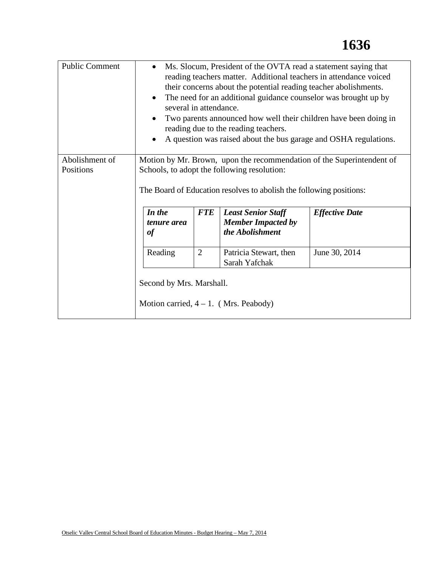| <b>Public Comment</b>       | Ms. Slocum, President of the OVTA read a statement saying that<br>$\bullet$<br>reading teachers matter. Additional teachers in attendance voiced<br>their concerns about the potential reading teacher abolishments.<br>The need for an additional guidance counselor was brought up by<br>$\bullet$<br>several in attendance.<br>Two parents announced how well their children have been doing in<br>reading due to the reading teachers.<br>A question was raised about the bus garage and OSHA regulations.<br>$\bullet$ |                |                                                                           |                       |
|-----------------------------|-----------------------------------------------------------------------------------------------------------------------------------------------------------------------------------------------------------------------------------------------------------------------------------------------------------------------------------------------------------------------------------------------------------------------------------------------------------------------------------------------------------------------------|----------------|---------------------------------------------------------------------------|-----------------------|
| Abolishment of<br>Positions | Motion by Mr. Brown, upon the recommendation of the Superintendent of<br>Schools, to adopt the following resolution:<br>The Board of Education resolves to abolish the following positions:                                                                                                                                                                                                                                                                                                                                 |                |                                                                           |                       |
|                             | In the<br>tenure area<br><b>of</b>                                                                                                                                                                                                                                                                                                                                                                                                                                                                                          | <b>FTE</b>     | <b>Least Senior Staff</b><br><b>Member Impacted by</b><br>the Abolishment | <b>Effective Date</b> |
|                             | Reading                                                                                                                                                                                                                                                                                                                                                                                                                                                                                                                     | $\overline{2}$ | Patricia Stewart, then<br>Sarah Yafchak                                   | June 30, 2014         |
|                             | Second by Mrs. Marshall.                                                                                                                                                                                                                                                                                                                                                                                                                                                                                                    |                | Motion carried, $4 - 1$ . (Mrs. Peabody)                                  |                       |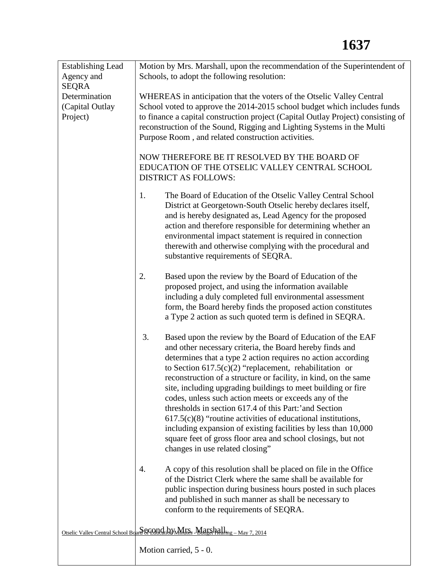| <b>Establishing Lead</b> | Motion by Mrs. Marshall, upon the recommendation of the Superintendent of                                                            |  |  |  |
|--------------------------|--------------------------------------------------------------------------------------------------------------------------------------|--|--|--|
| Agency and               | Schools, to adopt the following resolution:                                                                                          |  |  |  |
| <b>SEQRA</b>             |                                                                                                                                      |  |  |  |
| Determination            | WHEREAS in anticipation that the voters of the Otselic Valley Central                                                                |  |  |  |
| (Capital Outlay          | School voted to approve the 2014-2015 school budget which includes funds                                                             |  |  |  |
| Project)                 | to finance a capital construction project (Capital Outlay Project) consisting of                                                     |  |  |  |
|                          | reconstruction of the Sound, Rigging and Lighting Systems in the Multi                                                               |  |  |  |
|                          | Purpose Room, and related construction activities.                                                                                   |  |  |  |
|                          | NOW THEREFORE BE IT RESOLVED BY THE BOARD OF<br>EDUCATION OF THE OTSELIC VALLEY CENTRAL SCHOOL                                       |  |  |  |
|                          |                                                                                                                                      |  |  |  |
|                          | <b>DISTRICT AS FOLLOWS:</b>                                                                                                          |  |  |  |
|                          |                                                                                                                                      |  |  |  |
|                          | 1.<br>The Board of Education of the Otselic Valley Central School                                                                    |  |  |  |
|                          | District at Georgetown-South Otselic hereby declares itself,                                                                         |  |  |  |
|                          | and is hereby designated as, Lead Agency for the proposed                                                                            |  |  |  |
|                          | action and therefore responsible for determining whether an                                                                          |  |  |  |
|                          | environmental impact statement is required in connection                                                                             |  |  |  |
|                          | therewith and otherwise complying with the procedural and                                                                            |  |  |  |
|                          | substantive requirements of SEQRA.                                                                                                   |  |  |  |
|                          | 2.<br>Based upon the review by the Board of Education of the                                                                         |  |  |  |
|                          | proposed project, and using the information available                                                                                |  |  |  |
|                          | including a duly completed full environmental assessment                                                                             |  |  |  |
|                          | form, the Board hereby finds the proposed action constitutes                                                                         |  |  |  |
|                          | a Type 2 action as such quoted term is defined in SEQRA.                                                                             |  |  |  |
|                          |                                                                                                                                      |  |  |  |
|                          | 3.<br>Based upon the review by the Board of Education of the EAF                                                                     |  |  |  |
|                          | and other necessary criteria, the Board hereby finds and                                                                             |  |  |  |
|                          | determines that a type 2 action requires no action according<br>to Section $617.5(c)(2)$ "replacement, rehabilitation or             |  |  |  |
|                          | reconstruction of a structure or facility, in kind, on the same                                                                      |  |  |  |
|                          | site, including upgrading buildings to meet building or fire                                                                         |  |  |  |
|                          | codes, unless such action meets or exceeds any of the                                                                                |  |  |  |
|                          | thresholds in section 617.4 of this Part:'and Section                                                                                |  |  |  |
|                          | $617.5(c)(8)$ "routine activities of educational institutions,                                                                       |  |  |  |
|                          | including expansion of existing facilities by less than 10,000                                                                       |  |  |  |
|                          | square feet of gross floor area and school closings, but not                                                                         |  |  |  |
|                          | changes in use related closing"                                                                                                      |  |  |  |
|                          |                                                                                                                                      |  |  |  |
|                          | A copy of this resolution shall be placed on file in the Office<br>4.<br>of the District Clerk where the same shall be available for |  |  |  |
|                          | public inspection during business hours posted in such places                                                                        |  |  |  |
|                          | and published in such manner as shall be necessary to                                                                                |  |  |  |
|                          | conform to the requirements of SEQRA.                                                                                                |  |  |  |
|                          |                                                                                                                                      |  |  |  |
|                          | Otselic Valley Central School Board of Conduction Minites Marshall                                                                   |  |  |  |
|                          |                                                                                                                                      |  |  |  |
|                          | Motion carried, 5 - 0.                                                                                                               |  |  |  |
|                          |                                                                                                                                      |  |  |  |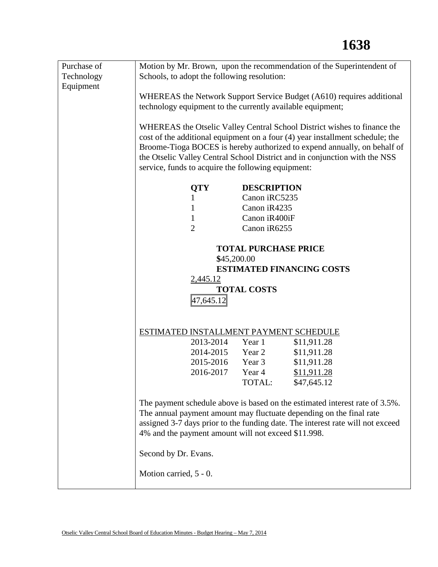| Purchase of | Motion by Mr. Brown, upon the recommendation of the Superintendent of                                                                                 |                                                                             |  |  |
|-------------|-------------------------------------------------------------------------------------------------------------------------------------------------------|-----------------------------------------------------------------------------|--|--|
| Technology  | Schools, to adopt the following resolution:                                                                                                           |                                                                             |  |  |
| Equipment   |                                                                                                                                                       |                                                                             |  |  |
|             | WHEREAS the Network Support Service Budget (A610) requires additional                                                                                 |                                                                             |  |  |
|             | technology equipment to the currently available equipment;                                                                                            |                                                                             |  |  |
|             |                                                                                                                                                       |                                                                             |  |  |
|             |                                                                                                                                                       | WHEREAS the Otselic Valley Central School District wishes to finance the    |  |  |
|             | cost of the additional equipment on a four (4) year installment schedule; the                                                                         |                                                                             |  |  |
|             | Broome-Tioga BOCES is hereby authorized to expend annually, on behalf of                                                                              |                                                                             |  |  |
|             | the Otselic Valley Central School District and in conjunction with the NSS                                                                            |                                                                             |  |  |
|             | service, funds to acquire the following equipment:                                                                                                    |                                                                             |  |  |
|             | <b>QTY</b>                                                                                                                                            | <b>DESCRIPTION</b>                                                          |  |  |
|             | 1                                                                                                                                                     | Canon iRC5235                                                               |  |  |
|             | $\mathbf 1$                                                                                                                                           | Canon iR4235                                                                |  |  |
|             | $\mathbf{1}$                                                                                                                                          | Canon iR400iF                                                               |  |  |
|             | $\overline{2}$                                                                                                                                        | Canon iR6255                                                                |  |  |
|             |                                                                                                                                                       |                                                                             |  |  |
|             |                                                                                                                                                       | <b>TOTAL PURCHASE PRICE</b>                                                 |  |  |
|             | \$45,200.00                                                                                                                                           |                                                                             |  |  |
|             |                                                                                                                                                       | <b>ESTIMATED FINANCING COSTS</b>                                            |  |  |
|             | 2,445.12                                                                                                                                              |                                                                             |  |  |
|             | <b>TOTAL COSTS</b>                                                                                                                                    |                                                                             |  |  |
|             | 47,645.12                                                                                                                                             |                                                                             |  |  |
|             |                                                                                                                                                       |                                                                             |  |  |
|             |                                                                                                                                                       | ESTIMATED INSTALLMENT PAYMENT SCHEDULE                                      |  |  |
|             | 2013-2014                                                                                                                                             | Year 1<br>\$11,911.28                                                       |  |  |
|             | 2014-2015                                                                                                                                             | Year 2<br>\$11,911.28                                                       |  |  |
|             | 2015-2016                                                                                                                                             | Year 3<br>\$11,911.28                                                       |  |  |
|             | 2016-2017                                                                                                                                             | Year 4<br>\$11,911.28                                                       |  |  |
|             |                                                                                                                                                       | TOTAL:<br>\$47,645.12                                                       |  |  |
|             |                                                                                                                                                       |                                                                             |  |  |
|             |                                                                                                                                                       | The payment schedule above is based on the estimated interest rate of 3.5%. |  |  |
|             | The annual payment amount may fluctuate depending on the final rate<br>assigned 3-7 days prior to the funding date. The interest rate will not exceed |                                                                             |  |  |
|             |                                                                                                                                                       |                                                                             |  |  |
|             | 4% and the payment amount will not exceed \$11.998.                                                                                                   |                                                                             |  |  |
|             | Second by Dr. Evans.                                                                                                                                  |                                                                             |  |  |
|             |                                                                                                                                                       |                                                                             |  |  |
|             | Motion carried, 5 - 0.                                                                                                                                |                                                                             |  |  |
|             |                                                                                                                                                       |                                                                             |  |  |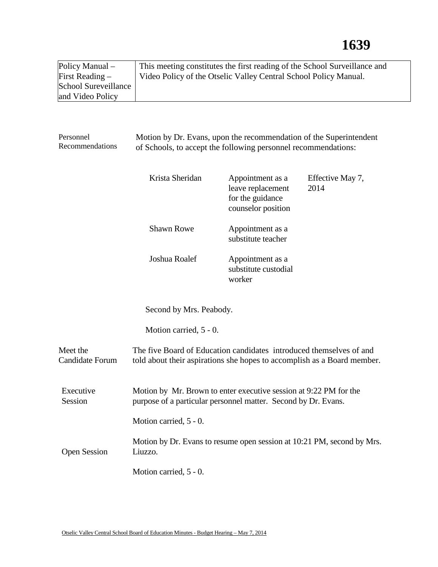| Policy Manual –      | This meeting constitutes the first reading of the School Surveillance and |
|----------------------|---------------------------------------------------------------------------|
| First Reading $-$    | Video Policy of the Otselic Valley Central School Policy Manual.          |
| School Sureveillance |                                                                           |
| and Video Policy     |                                                                           |

| Personnel<br>Recommendations       | Motion by Dr. Evans, upon the recommendation of the Superintendent<br>of Schools, to accept the following personnel recommendations:           |                                                                                 |                          |  |
|------------------------------------|------------------------------------------------------------------------------------------------------------------------------------------------|---------------------------------------------------------------------------------|--------------------------|--|
|                                    | Krista Sheridan                                                                                                                                | Appointment as a<br>leave replacement<br>for the guidance<br>counselor position | Effective May 7,<br>2014 |  |
|                                    | <b>Shawn Rowe</b>                                                                                                                              | Appointment as a<br>substitute teacher                                          |                          |  |
|                                    | Joshua Roalef                                                                                                                                  | Appointment as a<br>substitute custodial<br>worker                              |                          |  |
| Second by Mrs. Peabody.            |                                                                                                                                                |                                                                                 |                          |  |
|                                    | Motion carried, 5 - 0.                                                                                                                         |                                                                                 |                          |  |
| Meet the<br><b>Candidate Forum</b> | The five Board of Education candidates introduced themselves of and<br>told about their aspirations she hopes to accomplish as a Board member. |                                                                                 |                          |  |
| Executive<br>Session               | Motion by Mr. Brown to enter executive session at 9:22 PM for the<br>purpose of a particular personnel matter. Second by Dr. Evans.            |                                                                                 |                          |  |
|                                    | Motion carried, 5 - 0.                                                                                                                         |                                                                                 |                          |  |
| <b>Open Session</b>                | Motion by Dr. Evans to resume open session at 10:21 PM, second by Mrs.<br>Liuzzo.                                                              |                                                                                 |                          |  |
|                                    | Motion carried, 5 - 0.                                                                                                                         |                                                                                 |                          |  |